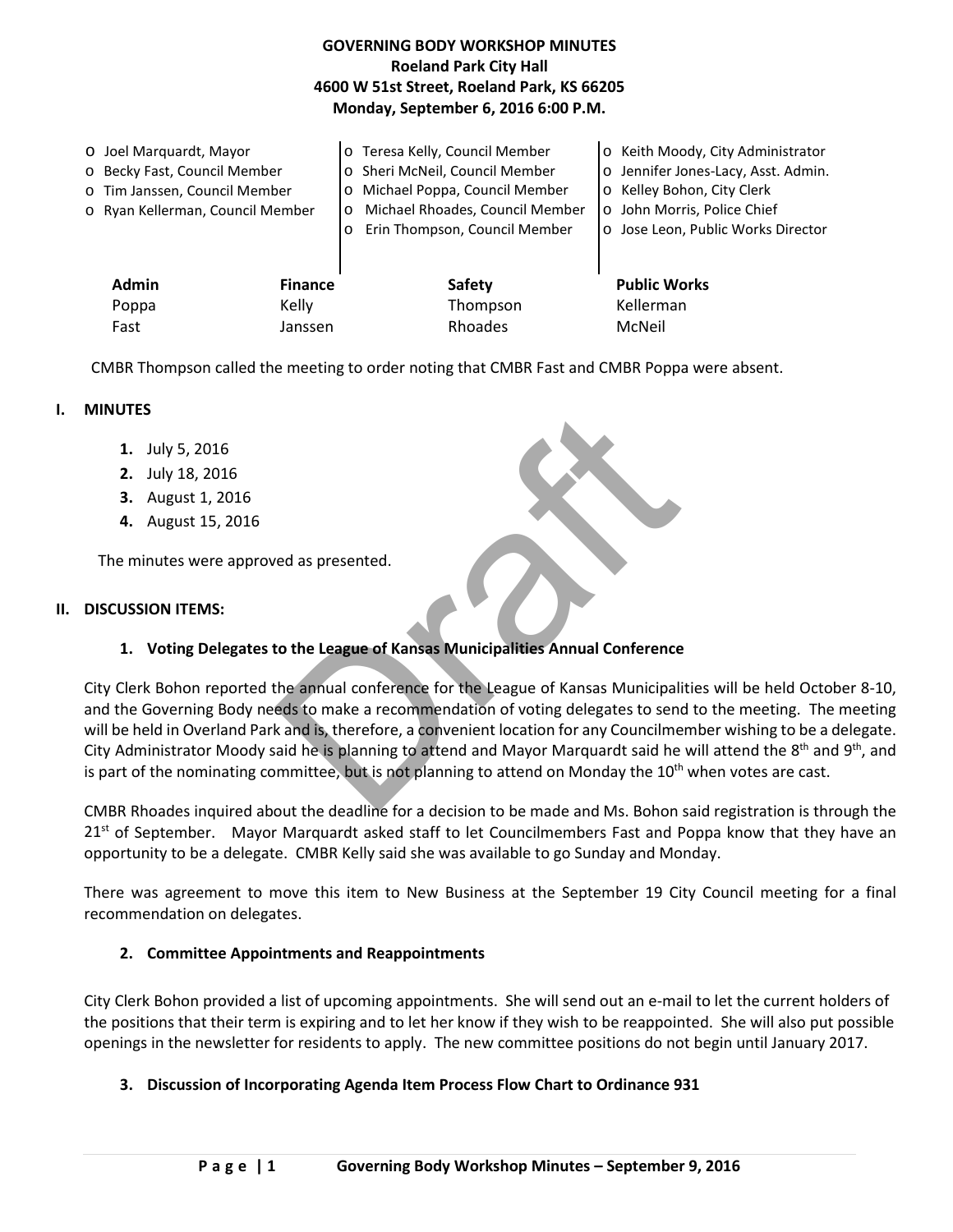|                                                                                                                              |                         | <b>GOVERNING BODY WORKSHOP MINUTES</b><br><b>Roeland Park City Hall</b><br>4600 W 51st Street, Roeland Park, KS 66205<br>Monday, September 6, 2016 6:00 P.M.                                                    |                                                                                                                                                                                               |
|------------------------------------------------------------------------------------------------------------------------------|-------------------------|-----------------------------------------------------------------------------------------------------------------------------------------------------------------------------------------------------------------|-----------------------------------------------------------------------------------------------------------------------------------------------------------------------------------------------|
| ○ Joel Marquardt, Mayor<br>o Becky Fast, Council Member<br>o Tim Janssen, Council Member<br>o Ryan Kellerman, Council Member |                         | o Teresa Kelly, Council Member<br>Sheri McNeil, Council Member<br>$\circ$<br>Michael Poppa, Council Member<br>$\circ$<br>Michael Rhoades, Council Member<br>$\circ$<br>Erin Thompson, Council Member<br>$\circ$ | Keith Moody, City Administrator<br>$\circ$<br>Jennifer Jones-Lacy, Asst. Admin.<br>$\circ$<br>o Kelley Bohon, City Clerk<br>o John Morris, Police Chief<br>o Jose Leon, Public Works Director |
| <b>Admin</b><br>Poppa                                                                                                        | <b>Finance</b><br>Kelly | <b>Safety</b><br>Thompson                                                                                                                                                                                       | <b>Public Works</b><br>Kellerman                                                                                                                                                              |
| Fast                                                                                                                         | Janssen                 | Rhoades                                                                                                                                                                                                         | McNeil                                                                                                                                                                                        |

CMBR Thompson called the meeting to order noting that CMBR Fast and CMBR Poppa were absent.

### **I. MINUTES**

- **1.** July 5, 2016
- **2.** July 18, 2016
- **3.** August 1, 2016
- **4.** August 15, 2016

The minutes were approved as presented.

#### **II. DISCUSSION ITEMS:**

#### **1. Voting Delegates to the League of Kansas Municipalities Annual Conference**

red as presented.<br>
Are discussed as presented.<br>
Are discussed as presented as Municipalities Annual Conference<br>
the annual conference for the League of Kansas Municipalities weds to make a recommendation of voting delegate City Clerk Bohon reported the annual conference for the League of Kansas Municipalities will be held October 8-10, and the Governing Body needs to make a recommendation of voting delegates to send to the meeting. The meeting will be held in Overland Park and is, therefore, a convenient location for any Councilmember wishing to be a delegate. City Administrator Moody said he is planning to attend and Mayor Marquardt said he will attend the  $8<sup>th</sup>$  and  $9<sup>th</sup>$ , and is part of the nominating committee, but is not planning to attend on Monday the 10<sup>th</sup> when votes are cast.

CMBR Rhoades inquired about the deadline for a decision to be made and Ms. Bohon said registration is through the 21<sup>st</sup> of September. Mayor Marquardt asked staff to let Councilmembers Fast and Poppa know that they have an opportunity to be a delegate. CMBR Kelly said she was available to go Sunday and Monday.

There was agreement to move this item to New Business at the September 19 City Council meeting for a final recommendation on delegates.

### **2. Committee Appointments and Reappointments**

City Clerk Bohon provided a list of upcoming appointments. She will send out an e-mail to let the current holders of the positions that their term is expiring and to let her know if they wish to be reappointed. She will also put possible openings in the newsletter for residents to apply. The new committee positions do not begin until January 2017.

#### **3. Discussion of Incorporating Agenda Item Process Flow Chart to Ordinance 931**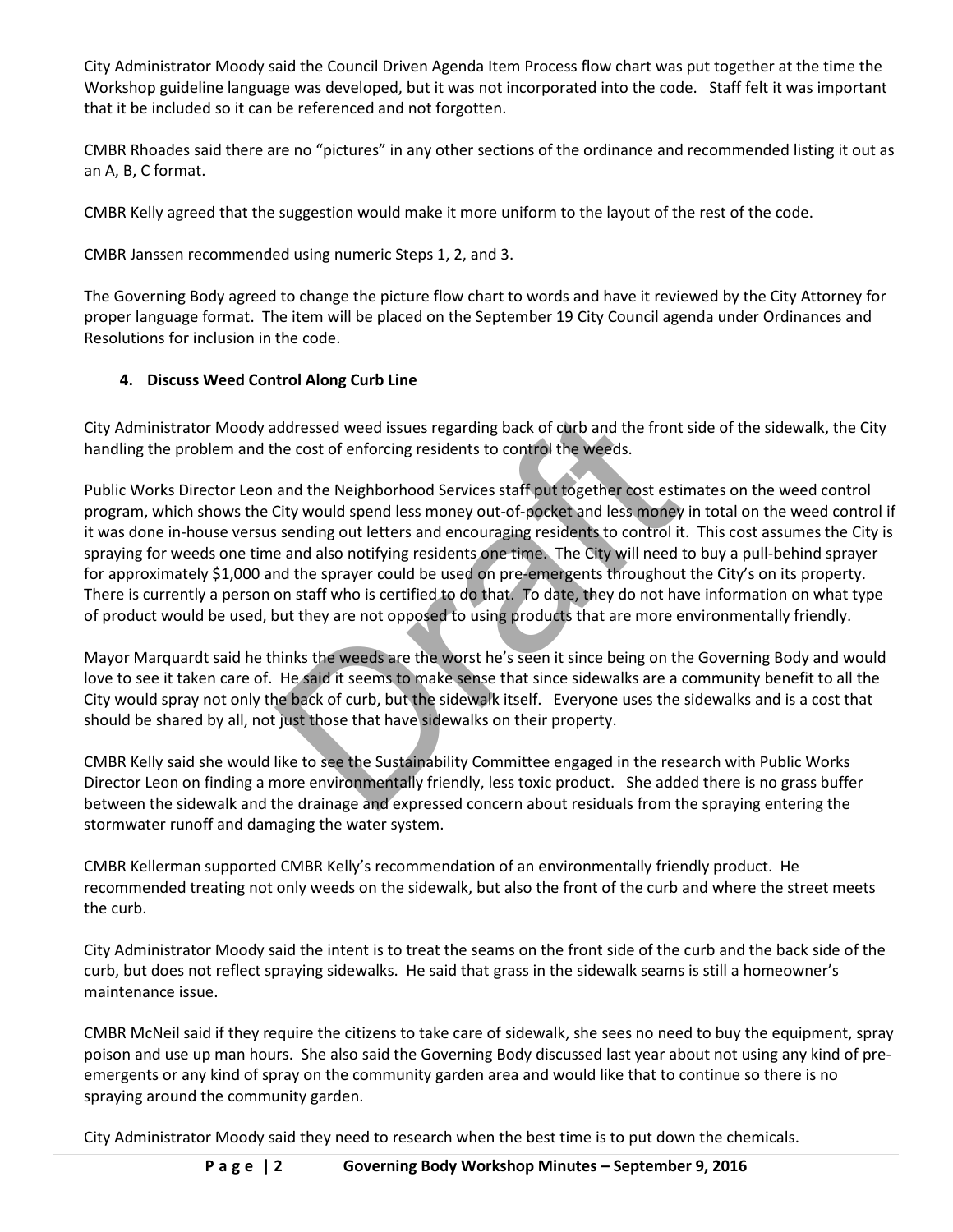City Administrator Moody said the Council Driven Agenda Item Process flow chart was put together at the time the Workshop guideline language was developed, but it was not incorporated into the code. Staff felt it was important that it be included so it can be referenced and not forgotten.

CMBR Rhoades said there are no "pictures" in any other sections of the ordinance and recommended listing it out as an A, B, C format.

CMBR Kelly agreed that the suggestion would make it more uniform to the layout of the rest of the code.

CMBR Janssen recommended using numeric Steps 1, 2, and 3.

The Governing Body agreed to change the picture flow chart to words and have it reviewed by the City Attorney for proper language format. The item will be placed on the September 19 City Council agenda under Ordinances and Resolutions for inclusion in the code.

# **4. Discuss Weed Control Along Curb Line**

City Administrator Moody addressed weed issues regarding back of curb and the front side of the sidewalk, the City handling the problem and the cost of enforcing residents to control the weeds.

ddressed weed issues regarding back of curb and the front side c<br>he cost of enforcing residents to control the weeds.<br>and the Neighborhood Services staff put together cost estimates<br>City would spend less money out-of-pocke Public Works Director Leon and the Neighborhood Services staff put together cost estimates on the weed control program, which shows the City would spend less money out-of-pocket and less money in total on the weed control if it was done in-house versus sending out letters and encouraging residents to control it. This cost assumes the City is spraying for weeds one time and also notifying residents one time. The City will need to buy a pull-behind sprayer for approximately \$1,000 and the sprayer could be used on pre-emergents throughout the City's on its property. There is currently a person on staff who is certified to do that. To date, they do not have information on what type of product would be used, but they are not opposed to using products that are more environmentally friendly.

Mayor Marquardt said he thinks the weeds are the worst he's seen it since being on the Governing Body and would love to see it taken care of. He said it seems to make sense that since sidewalks are a community benefit to all the City would spray not only the back of curb, but the sidewalk itself. Everyone uses the sidewalks and is a cost that should be shared by all, not just those that have sidewalks on their property.

CMBR Kelly said she would like to see the Sustainability Committee engaged in the research with Public Works Director Leon on finding a more environmentally friendly, less toxic product. She added there is no grass buffer between the sidewalk and the drainage and expressed concern about residuals from the spraying entering the stormwater runoff and damaging the water system.

CMBR Kellerman supported CMBR Kelly's recommendation of an environmentally friendly product. He recommended treating not only weeds on the sidewalk, but also the front of the curb and where the street meets the curb.

City Administrator Moody said the intent is to treat the seams on the front side of the curb and the back side of the curb, but does not reflect spraying sidewalks. He said that grass in the sidewalk seams is still a homeowner's maintenance issue.

CMBR McNeil said if they require the citizens to take care of sidewalk, she sees no need to buy the equipment, spray poison and use up man hours. She also said the Governing Body discussed last year about not using any kind of preemergents or any kind of spray on the community garden area and would like that to continue so there is no spraying around the community garden.

City Administrator Moody said they need to research when the best time is to put down the chemicals.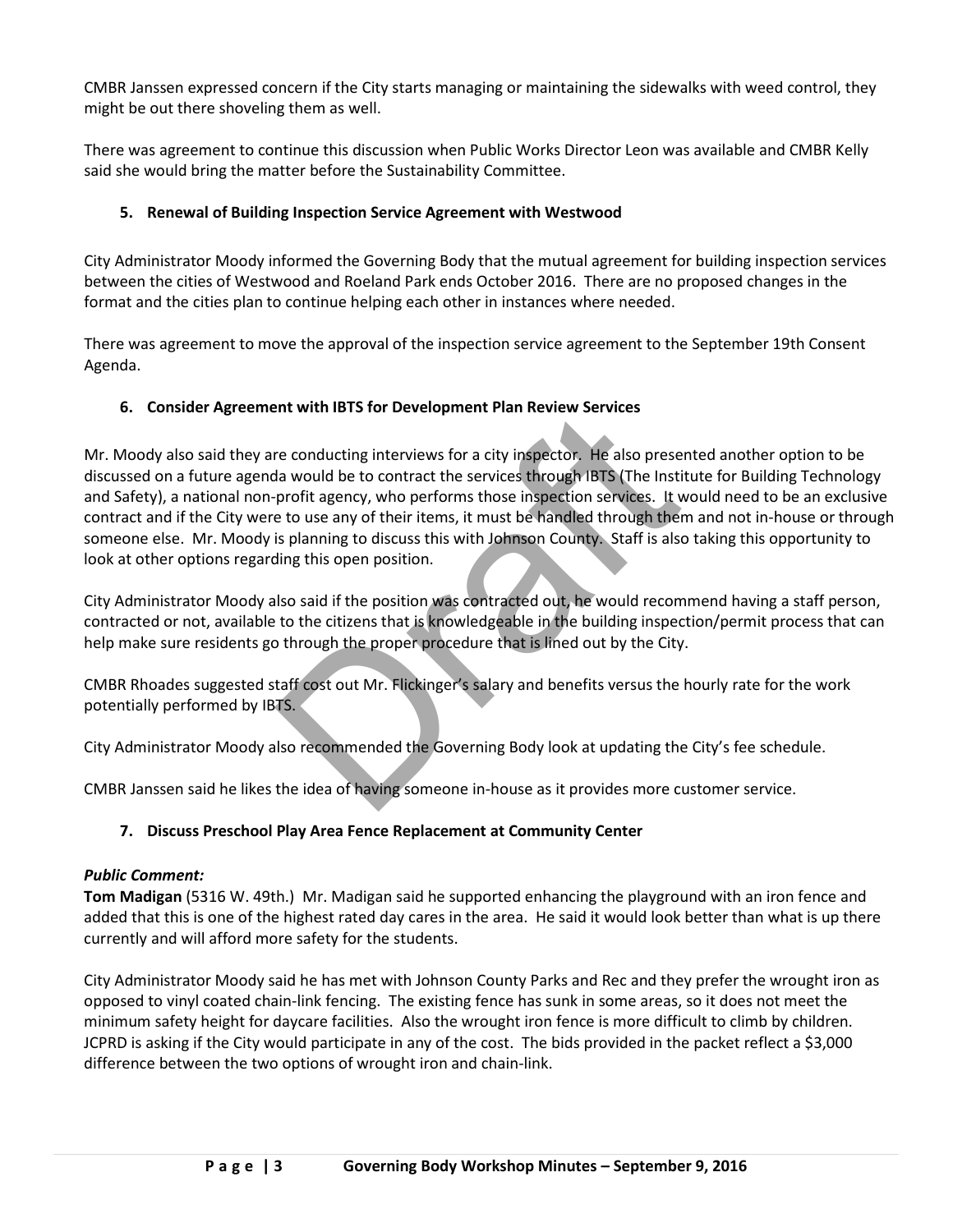CMBR Janssen expressed concern if the City starts managing or maintaining the sidewalks with weed control, they might be out there shoveling them as well.

There was agreement to continue this discussion when Public Works Director Leon was available and CMBR Kelly said she would bring the matter before the Sustainability Committee.

# **5. Renewal of Building Inspection Service Agreement with Westwood**

City Administrator Moody informed the Governing Body that the mutual agreement for building inspection services between the cities of Westwood and Roeland Park ends October 2016. There are no proposed changes in the format and the cities plan to continue helping each other in instances where needed.

There was agreement to move the approval of the inspection service agreement to the September 19th Consent Agenda.

# **6. Consider Agreement with IBTS for Development Plan Review Services**

First which is is not be verify inspector. He also presented a<br>reconducting interviews for a city inspector. He also presented fa would be to contract the services through IBTS (The Institute fi<br>profit agency, who performs Mr. Moody also said they are conducting interviews for a city inspector. He also presented another option to be discussed on a future agenda would be to contract the services through IBTS (The Institute for Building Technology and Safety), a national non-profit agency, who performs those inspection services. It would need to be an exclusive contract and if the City were to use any of their items, it must be handled through them and not in-house or through someone else. Mr. Moody is planning to discuss this with Johnson County. Staff is also taking this opportunity to look at other options regarding this open position.

City Administrator Moody also said if the position was contracted out, he would recommend having a staff person, contracted or not, available to the citizens that is knowledgeable in the building inspection/permit process that can help make sure residents go through the proper procedure that is lined out by the City.

CMBR Rhoades suggested staff cost out Mr. Flickinger's salary and benefits versus the hourly rate for the work potentially performed by IBTS.

City Administrator Moody also recommended the Governing Body look at updating the City's fee schedule.

CMBR Janssen said he likes the idea of having someone in-house as it provides more customer service.

# **7. Discuss Preschool Play Area Fence Replacement at Community Center**

### *Public Comment:*

**Tom Madigan** (5316 W. 49th.) Mr. Madigan said he supported enhancing the playground with an iron fence and added that this is one of the highest rated day cares in the area. He said it would look better than what is up there currently and will afford more safety for the students.

City Administrator Moody said he has met with Johnson County Parks and Rec and they prefer the wrought iron as opposed to vinyl coated chain-link fencing. The existing fence has sunk in some areas, so it does not meet the minimum safety height for daycare facilities. Also the wrought iron fence is more difficult to climb by children. JCPRD is asking if the City would participate in any of the cost. The bids provided in the packet reflect a \$3,000 difference between the two options of wrought iron and chain-link.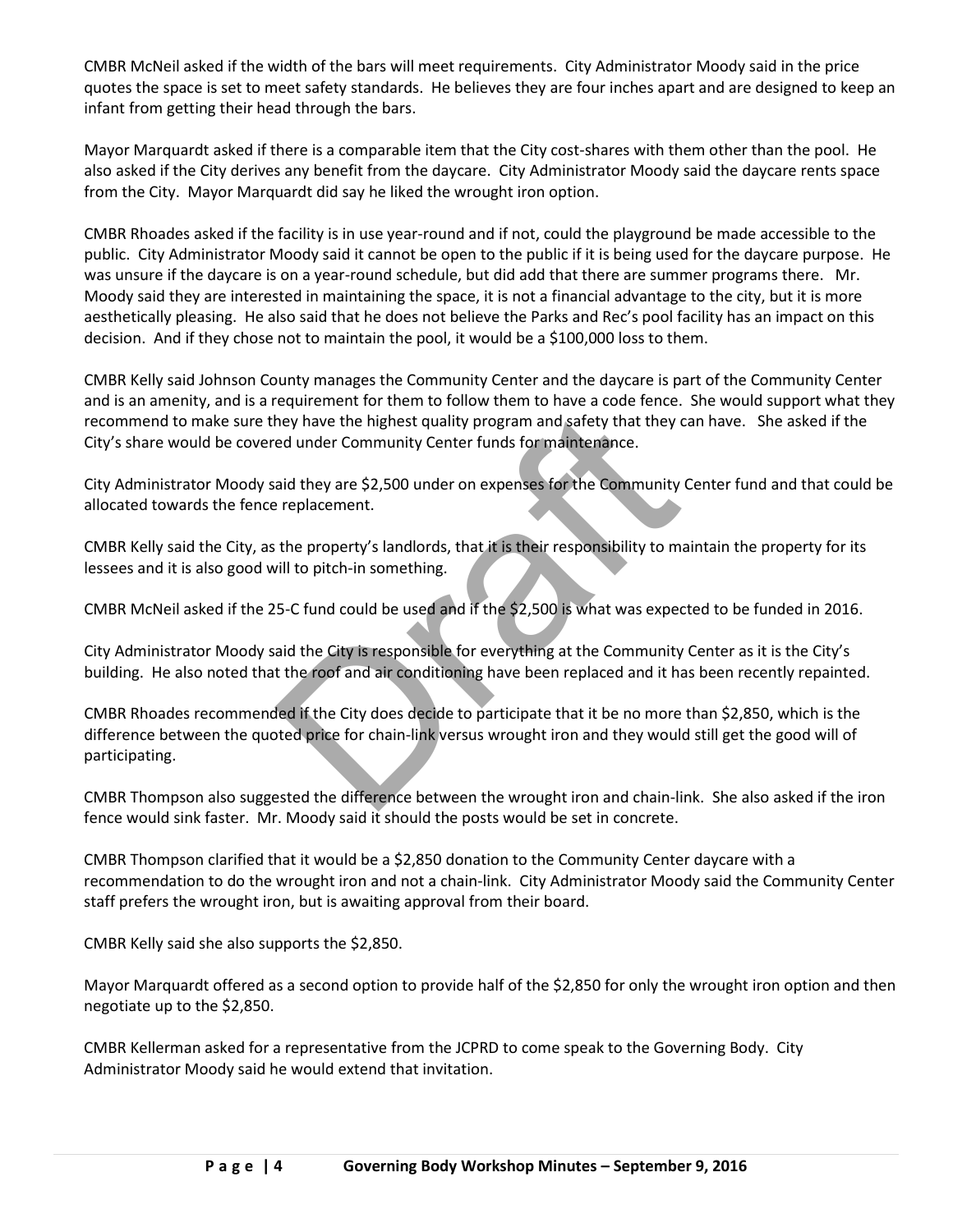CMBR McNeil asked if the width of the bars will meet requirements. City Administrator Moody said in the price quotes the space is set to meet safety standards. He believes they are four inches apart and are designed to keep an infant from getting their head through the bars.

Mayor Marquardt asked if there is a comparable item that the City cost-shares with them other than the pool. He also asked if the City derives any benefit from the daycare. City Administrator Moody said the daycare rents space from the City. Mayor Marquardt did say he liked the wrought iron option.

CMBR Rhoades asked if the facility is in use year-round and if not, could the playground be made accessible to the public. City Administrator Moody said it cannot be open to the public if it is being used for the daycare purpose. He was unsure if the daycare is on a year-round schedule, but did add that there are summer programs there. Mr. Moody said they are interested in maintaining the space, it is not a financial advantage to the city, but it is more aesthetically pleasing. He also said that he does not believe the Parks and Rec's pool facility has an impact on this decision. And if they chose not to maintain the pool, it would be a \$100,000 loss to them.

CMBR Kelly said Johnson County manages the Community Center and the daycare is part of the Community Center and is an amenity, and is a requirement for them to follow them to have a code fence. She would support what they recommend to make sure they have the highest quality program and safety that they can have. She asked if the City's share would be covered under Community Center funds for maintenance.

City Administrator Moody said they are \$2,500 under on expenses for the Community Center fund and that could be allocated towards the fence replacement.

CMBR Kelly said the City, as the property's landlords, that it is their responsibility to maintain the property for its lessees and it is also good will to pitch-in something.

CMBR McNeil asked if the 25-C fund could be used and if the \$2,500 is what was expected to be funded in 2016.

City Administrator Moody said the City is responsible for everything at the Community Center as it is the City's building. He also noted that the roof and air conditioning have been replaced and it has been recently repainted.

They have the highest quality program and safety that they can have dunder Community Center funds for maintenance.<br>
aid they are \$2,500 under on expenses for the Community Center replacement.<br>
the property's landlords, tha CMBR Rhoades recommended if the City does decide to participate that it be no more than \$2,850, which is the difference between the quoted price for chain-link versus wrought iron and they would still get the good will of participating.

CMBR Thompson also suggested the difference between the wrought iron and chain-link. She also asked if the iron fence would sink faster. Mr. Moody said it should the posts would be set in concrete.

CMBR Thompson clarified that it would be a \$2,850 donation to the Community Center daycare with a recommendation to do the wrought iron and not a chain-link. City Administrator Moody said the Community Center staff prefers the wrought iron, but is awaiting approval from their board.

CMBR Kelly said she also supports the \$2,850.

Mayor Marquardt offered as a second option to provide half of the \$2,850 for only the wrought iron option and then negotiate up to the \$2,850.

CMBR Kellerman asked for a representative from the JCPRD to come speak to the Governing Body. City Administrator Moody said he would extend that invitation.